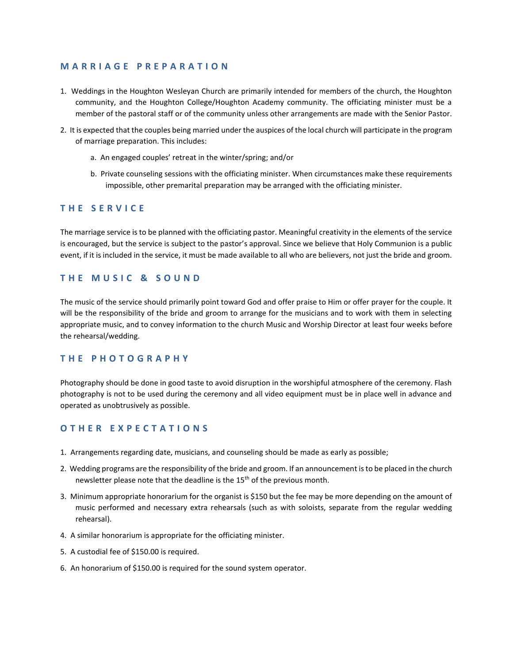### **M A R R I A G E P R E P A R A T I O N**

- 1. Weddings in the Houghton Wesleyan Church are primarily intended for members of the church, the Houghton community, and the Houghton College/Houghton Academy community. The officiating minister must be a member of the pastoral staff or of the community unless other arrangements are made with the Senior Pastor.
- 2. It is expected that the couples being married under the auspices of the local church will participate in the program of marriage preparation. This includes:
	- a. An engaged couples' retreat in the winter/spring; and/or
	- b. Private counseling sessions with the officiating minister. When circumstances make these requirements impossible, other premarital preparation may be arranged with the officiating minister.

# **T H E S E R V I C E**

The marriage service is to be planned with the officiating pastor. Meaningful creativity in the elements of the service is encouraged, but the service is subject to the pastor's approval. Since we believe that Holy Communion is a public event, if it is included in the service, it must be made available to all who are believers, not just the bride and groom.

### **THE MUSIC & SOUND**

The music of the service should primarily point toward God and offer praise to Him or offer prayer for the couple. It will be the responsibility of the bride and groom to arrange for the musicians and to work with them in selecting appropriate music, and to convey information to the church Music and Worship Director at least four weeks before the rehearsal/wedding.

# **T H E P H O T O G R A P H Y**

Photography should be done in good taste to avoid disruption in the worshipful atmosphere of the ceremony. Flash photography is not to be used during the ceremony and all video equipment must be in place well in advance and operated as unobtrusively as possible.

# **O T H E R E X P E C T A T I O N S**

- 1. Arrangements regarding date, musicians, and counseling should be made as early as possible;
- 2. Wedding programs are the responsibility of the bride and groom. If an announcement is to be placed in the church newsletter please note that the deadline is the 15<sup>th</sup> of the previous month.
- 3. Minimum appropriate honorarium for the organist is \$150 but the fee may be more depending on the amount of music performed and necessary extra rehearsals (such as with soloists, separate from the regular wedding rehearsal).
- 4. A similar honorarium is appropriate for the officiating minister.
- 5. A custodial fee of \$150.00 is required.
- 6. An honorarium of \$150.00 is required for the sound system operator.